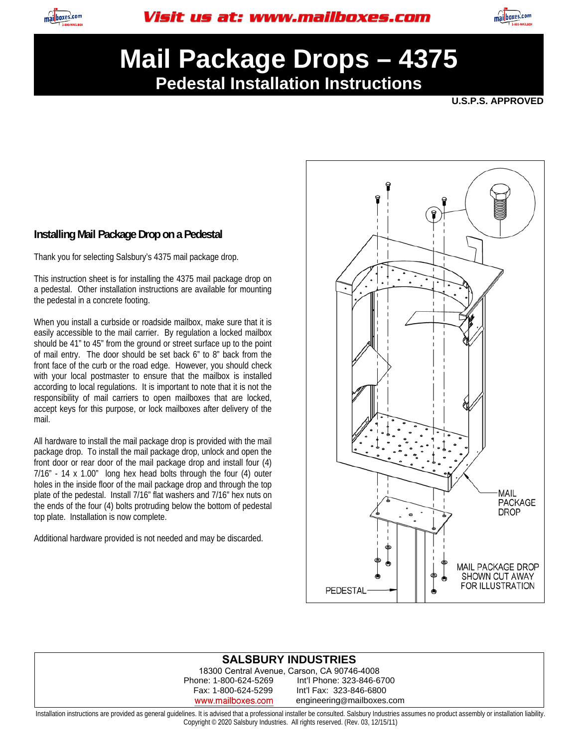



# **Mail Package Drops – 4375 Pedestal Installation Instructions**

**U.S.P.S. APPROVED** 

### **Installing Mail Package Drop on a Pedestal**

Thank you for selecting Salsbury's 4375 mail package drop.

This instruction sheet is for installing the 4375 mail package drop on a pedestal. Other installation instructions are available for mounting the pedestal in a concrete footing.

When you install a curbside or roadside mailbox, make sure that it is easily accessible to the mail carrier. By regulation a locked mailbox should be 41" to 45" from the ground or street surface up to the point of mail entry. The door should be set back 6" to 8" back from the front face of the curb or the road edge. However, you should check with your local postmaster to ensure that the mailbox is installed according to local regulations. It is important to note that it is not the responsibility of mail carriers to open mailboxes that are locked, accept keys for this purpose, or lock mailboxes after delivery of the mail.

All hardware to install the mail package drop is provided with the mail package drop. To install the mail package drop, unlock and open the front door or rear door of the mail package drop and install four (4) 7/16" - 14 x 1.00" long hex head bolts through the four (4) outer holes in the inside floor of the mail package drop and through the top plate of the pedestal. Install 7/16" flat washers and 7/16" hex nuts on the ends of the four (4) bolts protruding below the bottom of pedestal top plate. Installation is now complete.

Additional hardware provided is not needed and may be discarded.



#### **SALSBURY INDUSTRIES**

18300 Central Avenue, Carson, CA 90746-4008 Phone: 1-800-624-5269 Int'l Phone: 323-846-6700 Fax: 1-800-624-5299 Int'l Fax: 323-846-6800 www.mailboxes.com engineering@mailboxes.com

Installation instructions are provided as general guidelines. It is advised that a professional installer be consulted. Salsbury Industries assumes no product assembly or installation liability. Copyright © 2020 Salsbury Industries. All rights reserved. (Rev. 03, 12/15/11)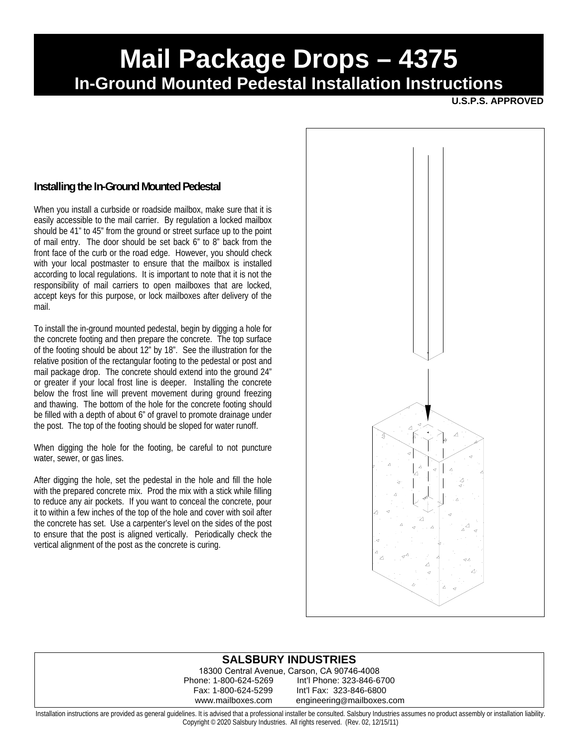## **Mail Package Drops – 4375 In-Ground Mounted Pedestal Installation Instructions**

**U.S.P.S. APPROVED** 

### **Installing the In-Ground Mounted Pedestal**

When you install a curbside or roadside mailbox, make sure that it is easily accessible to the mail carrier. By regulation a locked mailbox should be 41" to 45" from the ground or street surface up to the point of mail entry. The door should be set back 6" to 8" back from the front face of the curb or the road edge. However, you should check with your local postmaster to ensure that the mailbox is installed according to local regulations. It is important to note that it is not the responsibility of mail carriers to open mailboxes that are locked, accept keys for this purpose, or lock mailboxes after delivery of the mail.

To install the in-ground mounted pedestal, begin by digging a hole for the concrete footing and then prepare the concrete. The top surface of the footing should be about 12" by 18". See the illustration for the relative position of the rectangular footing to the pedestal or post and mail package drop. The concrete should extend into the ground 24" or greater if your local frost line is deeper. Installing the concrete below the frost line will prevent movement during ground freezing and thawing. The bottom of the hole for the concrete footing should be filled with a depth of about 6" of gravel to promote drainage under the post. The top of the footing should be sloped for water runoff.

When digging the hole for the footing, be careful to not puncture water, sewer, or gas lines.

After digging the hole, set the pedestal in the hole and fill the hole with the prepared concrete mix. Prod the mix with a stick while filling to reduce any air pockets. If you want to conceal the concrete, pour it to within a few inches of the top of the hole and cover with soil after the concrete has set. Use a carpenter's level on the sides of the post to ensure that the post is aligned vertically. Periodically check the vertical alignment of the post as the concrete is curing.



#### **SALSBURY INDUSTRIES**

18300 Central Avenue, Carson, CA 90746-4008 Int'l Phone: 323-846-6700 Fax: 1-800-624-5299 Int'l Fax: 323-846-6800 www.mailboxes.com engineering@mailboxes.com

Installation instructions are provided as general guidelines. It is advised that a professional installer be consulted. Salsbury Industries assumes no product assembly or installation liability. Copyright © 2020 Salsbury Industries. All rights reserved. (Rev. 02, 12/15/11)